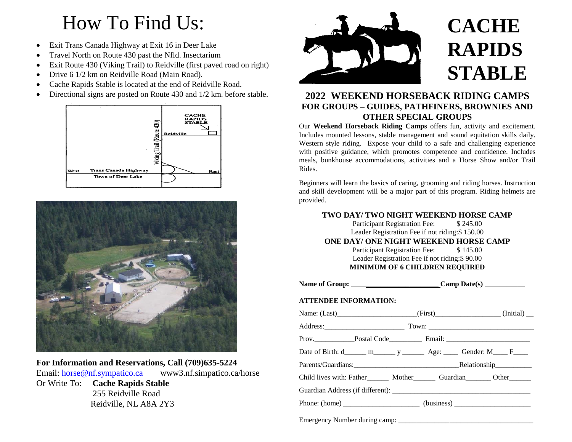# How To Find Us:

- Exit Trans Canada Highway at Exit 16 in Deer Lake
- Travel North on Route 430 past the Nfld. Insectarium
- Exit Route 430 (Viking Trail) to Reidville (first paved road on right)
- Drive 6 1/2 km on Reidville Road (Main Road).
- Cache Rapids Stable is located at the end of Reidville Road.
- Directional signs are posted on Route 430 and 1/2 km. before stable.





**For Information and Reservations, Call (709)635-5224** Email: [horse@nf.sympatico.ca](mailto:horse@nf.sympatico.ca) www3.nf.simpatico.ca/horse Or Write To: **Cache Rapids Stable**

 255 Reidville Road Reidville, NL A8A 2Y3



## **2022 WEEKEND HORSEBACK RIDING CAMPS FOR GROUPS – GUIDES, PATHFINERS, BROWNIES AND OTHER SPECIAL GROUPS**

Our **Weekend Horseback Riding Camps** offers fun, activity and excitement. Includes mounted lessons, stable management and sound equitation skills daily. Western style riding. Expose your child to a safe and challenging experience with positive guidance, which promotes competence and confidence. Includes meals, bunkhouse accommodations, activities and a Horse Show and/or Trail Rides.

Beginners will learn the basics of caring, grooming and riding horses. Instruction and skill development will be a major part of this program. Riding helmets are provided.

#### **TWO DAY/ TWO NIGHT WEEKEND HORSE CAMP**

Participant Registration Fee: \$245.00 Leader Registration Fee if not riding:\$ 150.00

#### **ONE DAY/ ONE NIGHT WEEKEND HORSE CAMP**

Participant Registration Fee: \$145.00 Leader Registration Fee if not riding:\$ 90.00 **MINIMUM OF 6 CHILDREN REQUIRED** 

| <b>Name of Group:</b> | $Camp$ Date(s) |
|-----------------------|----------------|
|-----------------------|----------------|

#### **ATTENDEE INFORMATION:**

| Name: $(Last)$ (First) (First) (First) (First) (Initial)                          |  |  |  |
|-----------------------------------------------------------------------------------|--|--|--|
|                                                                                   |  |  |  |
|                                                                                   |  |  |  |
|                                                                                   |  |  |  |
|                                                                                   |  |  |  |
| Child lives with: Father_________ Mother_________ Guardian_________ Other________ |  |  |  |
| Guardian Address (if different):                                                  |  |  |  |
|                                                                                   |  |  |  |
|                                                                                   |  |  |  |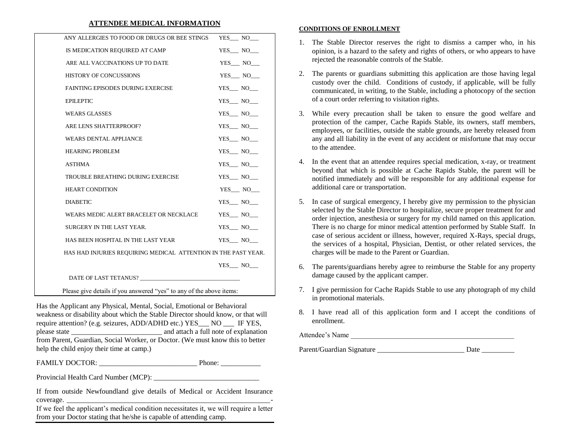#### **ATTENDEE MEDICAL INFORMATION**

| ANY ALLERGIES TO FOOD OR DRUGS OR BEE STINGS                         | YES NO     |  |  |
|----------------------------------------------------------------------|------------|--|--|
| IS MEDICATION REQUIRED AT CAMP                                       | $YES$ $NO$ |  |  |
| ARE ALL VACCINATIONS UP TO DATE                                      | YES NO     |  |  |
| <b>HISTORY OF CONCUSSIONS</b>                                        | YES NO     |  |  |
| <b>FAINTING EPISODES DURING EXERCISE</b>                             | YES_NO_    |  |  |
| <b>EPILEPTIC</b>                                                     | YES_NO_    |  |  |
| <b>WEARS GLASSES</b>                                                 | YES_NO_    |  |  |
| ARE LENS SHATTERPROOF?                                               | $YES$ $NO$ |  |  |
| <b>WEARS DENTAL APPLIANCE</b>                                        | $YES$ $NO$ |  |  |
| <b>HEARING PROBLEM</b>                                               | YES NO     |  |  |
| <b>ASTHMA</b>                                                        | YES_NO_    |  |  |
| TROUBLE BREATHING DURING EXERCISE                                    | $YES$ $NO$ |  |  |
| <b>HEART CONDITION</b>                                               | $YES$ $NO$ |  |  |
| <b>DIABETIC</b>                                                      | YES_NO_    |  |  |
| WEARS MEDIC ALERT BRACELET OR NECKLACE                               | YES NO     |  |  |
| SURGERY IN THE LAST YEAR.                                            | YES NO     |  |  |
| HAS BEEN HOSPITAL IN THE LAST YEAR                                   | $YES$ $NO$ |  |  |
| HAS HAD INJURIES REQUIRING MEDICAL ATTENTION IN THE PAST YEAR.       |            |  |  |
|                                                                      | YES NO     |  |  |
|                                                                      |            |  |  |
| Please give details if you answered "yes" to any of the above items: |            |  |  |

Has the Applicant any Physical, Mental, Social, Emotional or Behavioral weakness or disability about which the Stable Director should know, or that will require attention? (e.g. seizures, ADD/ADHD etc.) YES NO IF YES, please state and attach a full note of explanation from Parent, Guardian, Social Worker, or Doctor. (We must know this to better help the child enjoy their time at camp.)

FAMILY DOCTOR: \_\_\_\_\_\_\_\_\_\_\_\_\_\_\_\_\_\_\_\_\_\_\_\_\_\_\_ Phone: \_\_\_\_\_\_\_\_\_\_\_

Provincial Health Card Number (MCP): \_\_\_\_\_\_\_\_\_\_\_\_\_\_\_\_\_\_\_\_\_\_\_\_\_\_\_\_\_

If from outside Newfoundland give details of Medical or Accident Insurance  $coverage.$ 

If we feel the applicant's medical condition necessitates it, we will require a letter from your Doctor stating that he/she is capable of attending camp.

#### **CONDITIONS OF ENROLLMENT**

- 1. The Stable Director reserves the right to dismiss a camper who, in his opinion, is a hazard to the safety and rights of others, or who appears to have rejected the reasonable controls of the Stable.
- 2. The parents or guardians submitting this application are those having legal custody over the child. Conditions of custody, if applicable, will be fully communicated, in writing, to the Stable, including a photocopy of the section of a court order referring to visitation rights.
- 3. While every precaution shall be taken to ensure the good welfare and protection of the camper, Cache Rapids Stable, its owners, staff members, employees, or facilities, outside the stable grounds, are hereby released from any and all liability in the event of any accident or misfortune that may occur to the attendee.
- 4. In the event that an attendee requires special medication, x-ray, or treatment beyond that which is possible at Cache Rapids Stable, the parent will be notified immediately and will be responsible for any additional expense for additional care or transportation.
- 5. In case of surgical emergency, I hereby give my permission to the physician selected by the Stable Director to hospitalize, secure proper treatment for and order injection, anesthesia or surgery for my child named on this application. There is no charge for minor medical attention performed by Stable Staff. In case of serious accident or illness, however, required X-Rays, special drugs, the services of a hospital, Physician, Dentist, or other related services, the charges will be made to the Parent or Guardian.
- 6. The parents/guardians hereby agree to reimburse the Stable for any property damage caused by the applicant camper.
- 7. I give permission for Cache Rapids Stable to use any photograph of my child in promotional materials.
- 8. I have read all of this application form and I accept the conditions of enrollment.

Attendee's Name

Parent/Guardian Signature Date Date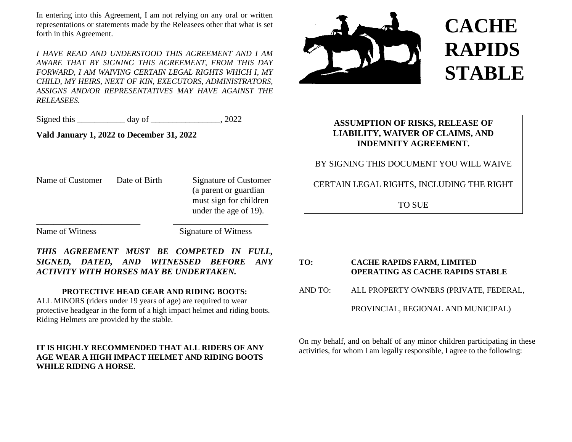In entering into this Agreement, I am not relying on any oral or written representations or statements made by the Releasees other that what is set forth in this Agreement.

*I HAVE READ AND UNDERSTOOD THIS AGREEMENT AND I AM AWARE THAT BY SIGNING THIS AGREEMENT, FROM THIS DAY FORWARD, I AM WAIVING CERTAIN LEGAL RIGHTS WHICH I, MY CHILD, MY HEIRS, NEXT OF KIN, EXECUTORS, ADMINISTRATORS, ASSIGNS AND/OR REPRESENTATIVES MAY HAVE AGAINST THE RELEASEES.*

Signed this \_\_\_\_\_\_\_\_\_\_\_ day of \_\_\_\_\_\_\_\_\_\_\_\_\_\_, 2022

**Vald January 1, 2022 to December 31, 2022**

Name of Customer Date of Birth Signature of Customer (a parent or guardian must sign for children under the age of 19). \_\_\_\_\_\_\_\_\_\_\_\_\_\_\_\_\_\_\_\_\_\_\_\_ \_\_\_\_\_\_\_\_\_\_\_\_\_\_\_\_\_\_\_\_\_\_

\_\_\_\_\_\_\_\_\_\_\_\_\_\_\_\_\_\_\_\_\_\_\_ \_\_\_\_\_\_\_\_\_\_\_\_\_\_\_\_\_\_\_\_\_\_\_ \_\_\_\_\_\_\_\_\_\_ \_\_\_\_\_\_\_\_\_\_\_\_\_\_\_\_\_\_\_\_

Name of Witness Signature of Witness

*THIS AGREEMENT MUST BE COMPETED IN FULL, SIGNED, DATED, AND WITNESSED BEFORE ANY ACTIVITY WITH HORSES MAY BE UNDERTAKEN.*

#### **PROTECTIVE HEAD GEAR AND RIDING BOOTS:**

ALL MINORS (riders under 19 years of age) are required to wear protective headgear in the form of a high impact helmet and riding boots. Riding Helmets are provided by the stable.

#### **IT IS HIGHLY RECOMMENDED THAT ALL RIDERS OF ANY AGE WEAR A HIGH IMPACT HELMET AND RIDING BOOTS WHILE RIDING A HORSE.**



### **ASSUMPTION OF RISKS, RELEASE OF LIABILITY, WAIVER OF CLAIMS, AND INDEMNITY AGREEMENT.**

#### BY SIGNING THIS DOCUMENT YOU WILL WAIVE

CERTAIN LEGAL RIGHTS, INCLUDING THE RIGHT

TO SUE

# **TO: CACHE RAPIDS FARM, LIMITED OPERATING AS CACHE RAPIDS STABLE** AND TO: ALL PROPERTY OWNERS (PRIVATE, FEDERAL, PROVINCIAL, REGIONAL AND MUNICIPAL)

On my behalf, and on behalf of any minor children participating in these activities, for whom I am legally responsible, I agree to the following: